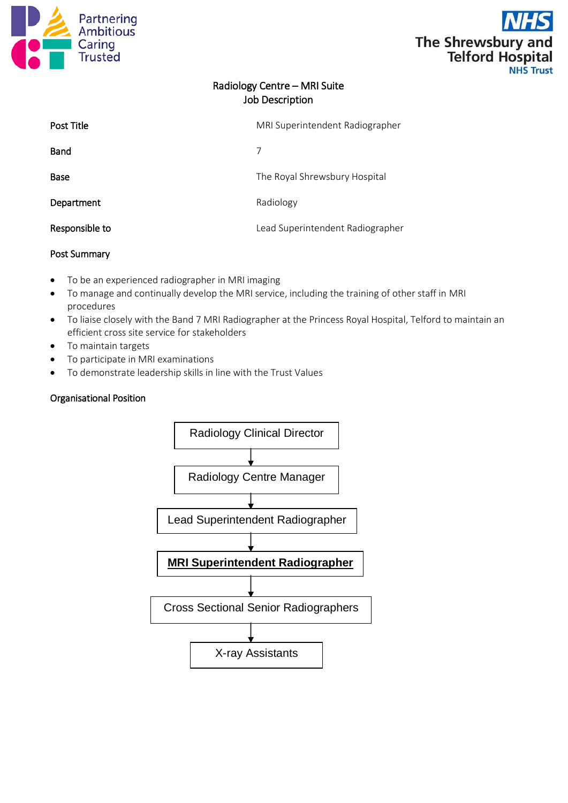



# Radiology Centre – MRI Suite Job Description

| <b>Post Title</b> | MRI Superintendent Radiographer  |
|-------------------|----------------------------------|
| <b>Band</b>       |                                  |
| Base              | The Royal Shrewsbury Hospital    |
| Department        | Radiology                        |
| Responsible to    | Lead Superintendent Radiographer |

## Post Summary

- To be an experienced radiographer in MRI imaging
- To manage and continually develop the MRI service, including the training of other staff in MRI procedures
- To liaise closely with the Band 7 MRI Radiographer at the Princess Royal Hospital, Telford to maintain an efficient cross site service for stakeholders
- To maintain targets
- To participate in MRI examinations
- To demonstrate leadership skills in line with the Trust Values

#### Organisational Position

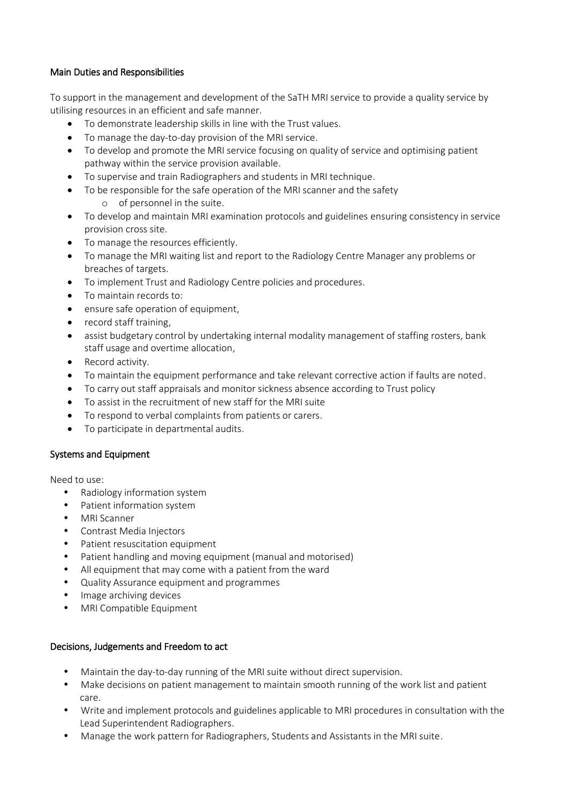## Main Duties and Responsibilities

To support in the management and development of the SaTH MRI service to provide a quality service by utilising resources in an efficient and safe manner.

- To demonstrate leadership skills in line with the Trust values.
- To manage the day-to-day provision of the MRI service.
- To develop and promote the MRI service focusing on quality of service and optimising patient pathway within the service provision available.
- To supervise and train Radiographers and students in MRI technique.
- To be responsible for the safe operation of the MRI scanner and the safety
	- o of personnel in the suite.
- To develop and maintain MRI examination protocols and guidelines ensuring consistency in service provision cross site.
- To manage the resources efficiently.
- To manage the MRI waiting list and report to the Radiology Centre Manager any problems or breaches of targets.
- To implement Trust and Radiology Centre policies and procedures.
- To maintain records to:
- ensure safe operation of equipment,
- record staff training.
- assist budgetary control by undertaking internal modality management of staffing rosters, bank staff usage and overtime allocation,
- Record activity.
- To maintain the equipment performance and take relevant corrective action if faults are noted.
- To carry out staff appraisals and monitor sickness absence according to Trust policy
- To assist in the recruitment of new staff for the MRI suite
- To respond to verbal complaints from patients or carers.
- To participate in departmental audits.

#### Systems and Equipment

Need to use:

- Radiology information system
- Patient information system
- MRI Scanner
- Contrast Media Injectors
- Patient resuscitation equipment
- Patient handling and moving equipment (manual and motorised)
- All equipment that may come with a patient from the ward
- Quality Assurance equipment and programmes
- Image archiving devices
- MRI Compatible Equipment

#### Decisions, Judgements and Freedom to act

- Maintain the day-to-day running of the MRI suite without direct supervision.
- Make decisions on patient management to maintain smooth running of the work list and patient care.
- Write and implement protocols and guidelines applicable to MRI procedures in consultation with the Lead Superintendent Radiographers.
- Manage the work pattern for Radiographers, Students and Assistants in the MRI suite.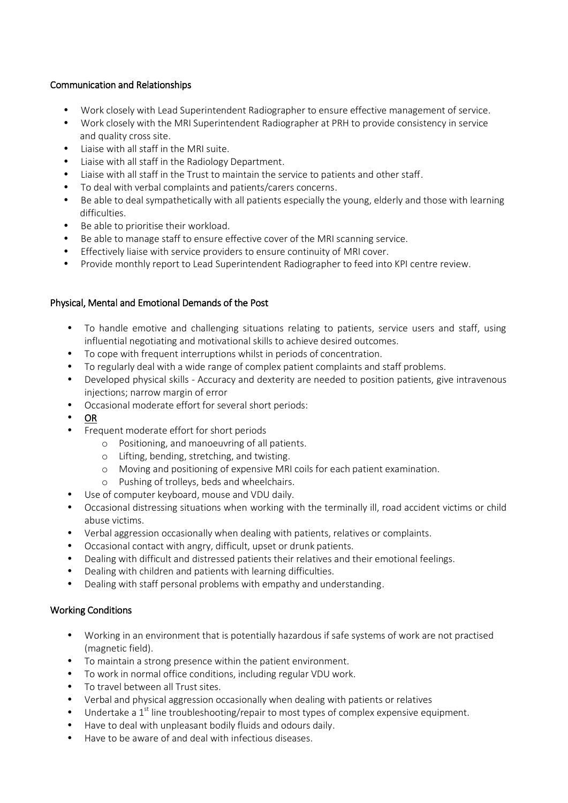## Communication and Relationships

- Work closely with Lead Superintendent Radiographer to ensure effective management of service.
- Work closely with the MRI Superintendent Radiographer at PRH to provide consistency in service and quality cross site.
- Liaise with all staff in the MRI suite.
- Liaise with all staff in the Radiology Department.
- Liaise with all staff in the Trust to maintain the service to patients and other staff.
- To deal with verbal complaints and patients/carers concerns.
- Be able to deal sympathetically with all patients especially the young, elderly and those with learning difficulties.
- Be able to prioritise their workload.
- Be able to manage staff to ensure effective cover of the MRI scanning service.
- Effectively liaise with service providers to ensure continuity of MRI cover.
- Provide monthly report to Lead Superintendent Radiographer to feed into KPI centre review.

## Physical, Mental and Emotional Demands of the Post

- To handle emotive and challenging situations relating to patients, service users and staff, using influential negotiating and motivational skills to achieve desired outcomes.
- To cope with frequent interruptions whilst in periods of concentration.
- To regularly deal with a wide range of complex patient complaints and staff problems.
- Developed physical skills Accuracy and dexterity are needed to position patients, give intravenous injections; narrow margin of error
- Occasional moderate effort for several short periods:
- OR
- Frequent moderate effort for short periods
	- o Positioning, and manoeuvring of all patients.
	- o Lifting, bending, stretching, and twisting.
	- o Moving and positioning of expensive MRI coils for each patient examination.
	- o Pushing of trolleys, beds and wheelchairs.
- Use of computer keyboard, mouse and VDU daily.
- Occasional distressing situations when working with the terminally ill, road accident victims or child abuse victims.
- Verbal aggression occasionally when dealing with patients, relatives or complaints.
- Occasional contact with angry, difficult, upset or drunk patients.
- Dealing with difficult and distressed patients their relatives and their emotional feelings.
- Dealing with children and patients with learning difficulties.
- Dealing with staff personal problems with empathy and understanding.

## Working Conditions

- Working in an environment that is potentially hazardous if safe systems of work are not practised (magnetic field).
- To maintain a strong presence within the patient environment.
- To work in normal office conditions, including regular VDU work.
- To travel between all Trust sites.
- Verbal and physical aggression occasionally when dealing with patients or relatives
- Undertake a  $1<sup>st</sup>$  line troubleshooting/repair to most types of complex expensive equipment.
- Have to deal with unpleasant bodily fluids and odours daily.
- Have to be aware of and deal with infectious diseases.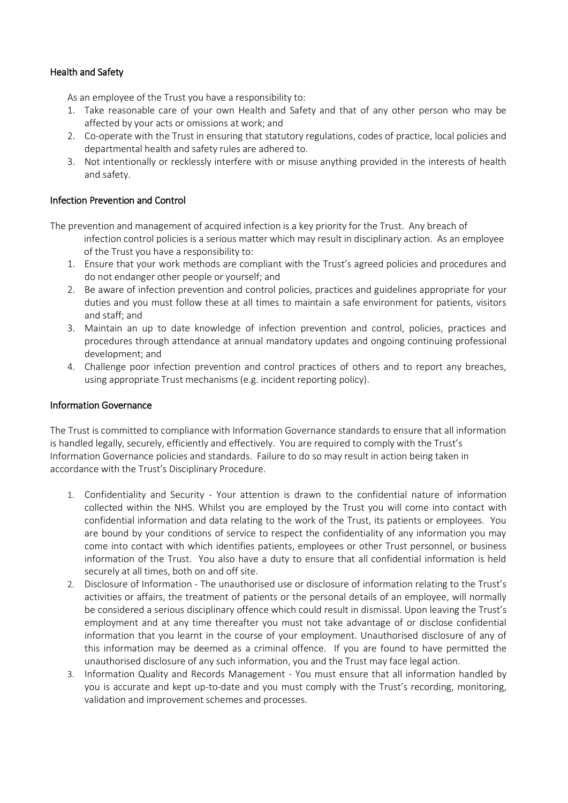## Health and Safety

As an employee of the Trust you have a responsibility to:

- 1. Take reasonable care of your own Health and Safety and that of any other person who may be affected by your acts or omissions at work; and
- 2. Co-operate with the Trust in ensuring that statutory regulations, codes of practice, local policies and departmental health and safety rules are adhered to.
- 3. Not intentionally or recklessly interfere with or misuse anything provided in the interests of health and safety.

#### Infection Prevention and Control

The prevention and management of acquired infection is a key priority for the Trust. Any breach of infection control policies is a serious matter which may result in disciplinary action. As an employee of the Trust you have a responsibility to:

- 1. Ensure that your work methods are compliant with the Trust's agreed policies and procedures and do not endanger other people or yourself; and
- 2. Be aware of infection prevention and control policies, practices and guidelines appropriate for your duties and you must follow these at all times to maintain a safe environment for patients, visitors and staff; and
- 3. Maintain an up to date knowledge of infection prevention and control, policies, practices and procedures through attendance at annual mandatory updates and ongoing continuing professional development; and
- 4. Challenge poor infection prevention and control practices of others and to report any breaches, using appropriate Trust mechanisms (e.g. incident reporting policy).

#### Information Governance

The Trust is committed to compliance with Information Governance standards to ensure that all information is handled legally, securely, efficiently and effectively. You are required to comply with the Trust's Information Governance policies and standards. Failure to do so may result in action being taken in accordance with the Trust's Disciplinary Procedure.

- 1. Confidentiality and Security Your attention is drawn to the confidential nature of information collected within the NHS. Whilst you are employed by the Trust you will come into contact with confidential information and data relating to the work of the Trust, its patients or employees. You are bound by your conditions of service to respect the confidentiality of any information you may come into contact with which identifies patients, employees or other Trust personnel, or business information of the Trust. You also have a duty to ensure that all confidential information is held securely at all times, both on and off site.
- 2. Disclosure of Information The unauthorised use or disclosure of information relating to the Trust's activities or affairs, the treatment of patients or the personal details of an employee, will normally be considered a serious disciplinary offence which could result in dismissal. Upon leaving the Trust's employment and at any time thereafter you must not take advantage of or disclose confidential information that you learnt in the course of your employment. Unauthorised disclosure of any of this information may be deemed as a criminal offence. If you are found to have permitted the unauthorised disclosure of any such information, you and the Trust may face legal action.
- 3. Information Quality and Records Management You must ensure that all information handled by you is accurate and kept up-to-date and you must comply with the Trust's recording, monitoring, validation and improvement schemes and processes.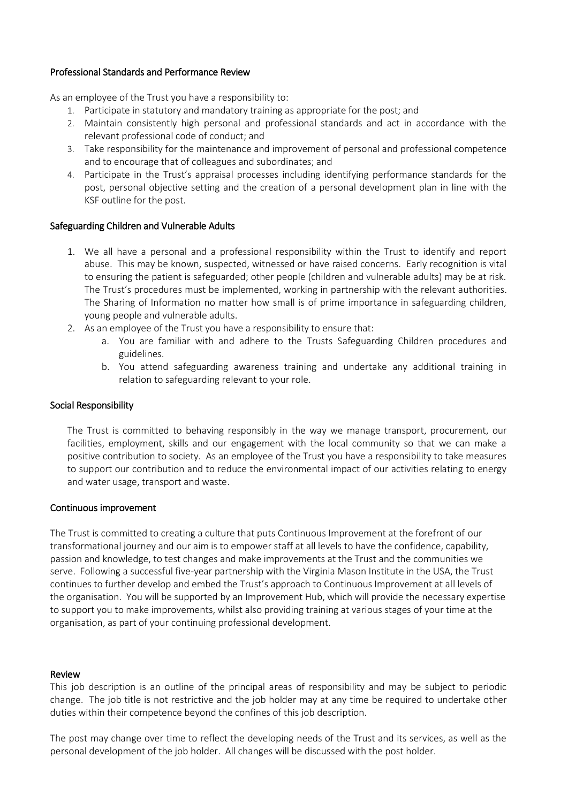#### Professional Standards and Performance Review

As an employee of the Trust you have a responsibility to:

- 1. Participate in statutory and mandatory training as appropriate for the post; and
- 2. Maintain consistently high personal and professional standards and act in accordance with the relevant professional code of conduct; and
- 3. Take responsibility for the maintenance and improvement of personal and professional competence and to encourage that of colleagues and subordinates; and
- 4. Participate in the Trust's appraisal processes including identifying performance standards for the post, personal objective setting and the creation of a personal development plan in line with the KSF outline for the post.

## Safeguarding Children and Vulnerable Adults

- 1. We all have a personal and a professional responsibility within the Trust to identify and report abuse. This may be known, suspected, witnessed or have raised concerns. Early recognition is vital to ensuring the patient is safeguarded; other people (children and vulnerable adults) may be at risk. The Trust's procedures must be implemented, working in partnership with the relevant authorities. The Sharing of Information no matter how small is of prime importance in safeguarding children, young people and vulnerable adults.
- 2. As an employee of the Trust you have a responsibility to ensure that:
	- a. You are familiar with and adhere to the Trusts Safeguarding Children procedures and guidelines.
	- b. You attend safeguarding awareness training and undertake any additional training in relation to safeguarding relevant to your role.

## Social Responsibility

The Trust is committed to behaving responsibly in the way we manage transport, procurement, our facilities, employment, skills and our engagement with the local community so that we can make a positive contribution to society. As an employee of the Trust you have a responsibility to take measures to support our contribution and to reduce the environmental impact of our activities relating to energy and water usage, transport and waste.

## Continuous improvement

The Trust is committed to creating a culture that puts Continuous Improvement at the forefront of our transformational journey and our aim is to empower staff at all levels to have the confidence, capability, passion and knowledge, to test changes and make improvements at the Trust and the communities we serve. Following a successful five-year partnership with the Virginia Mason Institute in the USA, the Trust continues to further develop and embed the Trust's approach to Continuous Improvement at all levels of the organisation. You will be supported by an Improvement Hub, which will provide the necessary expertise to support you to make improvements, whilst also providing training at various stages of your time at the organisation, as part of your continuing professional development.

#### Review

This job description is an outline of the principal areas of responsibility and may be subject to periodic change. The job title is not restrictive and the job holder may at any time be required to undertake other duties within their competence beyond the confines of this job description.

The post may change over time to reflect the developing needs of the Trust and its services, as well as the personal development of the job holder. All changes will be discussed with the post holder.